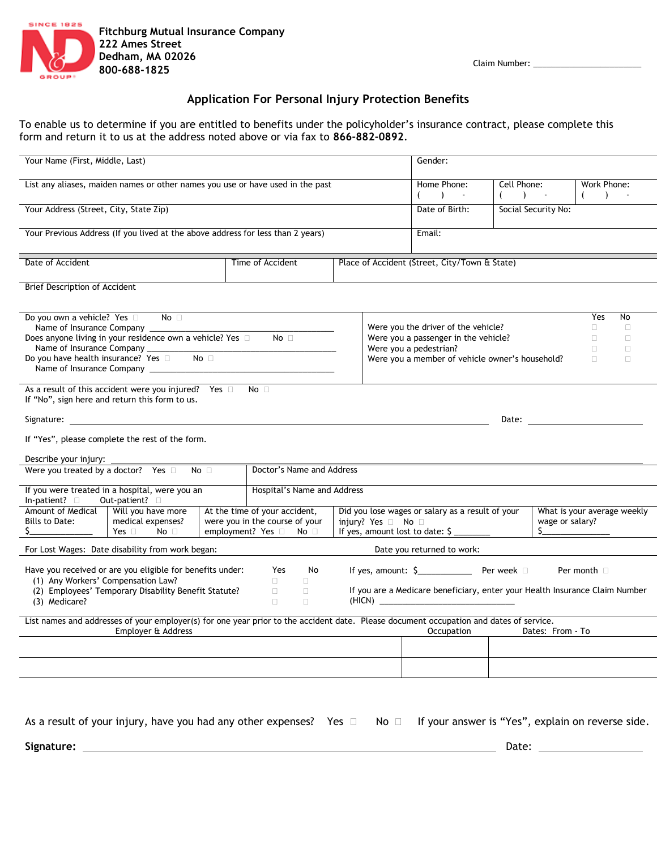

## **Application For Personal Injury Protection Benefits**

To enable us to determine if you are entitled to benefits under the policyholder's insurance contract, please complete this form and return it to us at the address noted above or via fax to **866-882-0892**.

| Your Name (First, Middle, Last)                                                                                                                                                                                                                                                                                                     |                                                                                     |                  |                                   |                                                                                                                                       |                                               |                                                                                                                                                                                                                                                       | Gender:                                                                                                                                                                         |                        |  |                        |  |  |
|-------------------------------------------------------------------------------------------------------------------------------------------------------------------------------------------------------------------------------------------------------------------------------------------------------------------------------------|-------------------------------------------------------------------------------------|------------------|-----------------------------------|---------------------------------------------------------------------------------------------------------------------------------------|-----------------------------------------------|-------------------------------------------------------------------------------------------------------------------------------------------------------------------------------------------------------------------------------------------------------|---------------------------------------------------------------------------------------------------------------------------------------------------------------------------------|------------------------|--|------------------------|--|--|
| List any aliases, maiden names or other names you use or have used in the past                                                                                                                                                                                                                                                      |                                                                                     |                  |                                   |                                                                                                                                       |                                               |                                                                                                                                                                                                                                                       | Home Phone:<br>$( )$ ) -                                                                                                                                                        | Cell Phone:<br>$($ ) - |  | Work Phone:<br>$($ ) - |  |  |
| Your Address (Street, City, State Zip)                                                                                                                                                                                                                                                                                              |                                                                                     |                  |                                   |                                                                                                                                       |                                               |                                                                                                                                                                                                                                                       | Date of Birth:                                                                                                                                                                  | Social Security No:    |  |                        |  |  |
| Your Previous Address (If you lived at the above address for less than 2 years)                                                                                                                                                                                                                                                     |                                                                                     |                  |                                   |                                                                                                                                       |                                               |                                                                                                                                                                                                                                                       | Email:                                                                                                                                                                          |                        |  |                        |  |  |
| Date of Accident                                                                                                                                                                                                                                                                                                                    |                                                                                     | Time of Accident |                                   |                                                                                                                                       | Place of Accident (Street, City/Town & State) |                                                                                                                                                                                                                                                       |                                                                                                                                                                                 |                        |  |                        |  |  |
| Brief Description of Accident                                                                                                                                                                                                                                                                                                       |                                                                                     |                  |                                   |                                                                                                                                       |                                               |                                                                                                                                                                                                                                                       |                                                                                                                                                                                 |                        |  |                        |  |  |
| Do you own a vehicle? Yes □ No □<br>Name of Insurance Company _____<br>Does anyone living in your residence own a vehicle? Yes D<br>No <sub>1</sub><br>Do you have health insurance? Yes a No<br>As a result of this accident were you injured? Yes $\Box$ No $\Box$                                                                |                                                                                     |                  |                                   |                                                                                                                                       |                                               | Yes<br>No<br>Were you the driver of the vehicle?<br>$\Box$<br>$\Box$<br>Were you a passenger in the vehicle?<br>$\Box$<br>$\Box$<br>Were you a pedestrian?<br>$\Box$<br>$\Box$<br>Were you a member of vehicle owner's household?<br>$\Box$<br>$\Box$ |                                                                                                                                                                                 |                        |  |                        |  |  |
| If "No", sign here and return this form to us.<br>Date: the contract of the contract of the contract of the contract of the contract of the contract of the contract of the contract of the contract of the contract of the contract of the contract of the contract of the cont<br>If "Yes", please complete the rest of the form. |                                                                                     |                  |                                   |                                                                                                                                       |                                               |                                                                                                                                                                                                                                                       |                                                                                                                                                                                 |                        |  |                        |  |  |
| Describe your injury:<br>No<br>Were you treated by a doctor? Yes $\square$<br>Doctor's Name and Address                                                                                                                                                                                                                             |                                                                                     |                  |                                   |                                                                                                                                       |                                               |                                                                                                                                                                                                                                                       |                                                                                                                                                                                 |                        |  |                        |  |  |
| If you were treated in a hospital, were you an<br>In-patient? D Out-patient? D                                                                                                                                                                                                                                                      |                                                                                     |                  | Hospital's Name and Address       |                                                                                                                                       |                                               |                                                                                                                                                                                                                                                       |                                                                                                                                                                                 |                        |  |                        |  |  |
| Bills to Date:                                                                                                                                                                                                                                                                                                                      | Amount of Medical   Will you have more<br>medical expenses?<br>Yes $\Box$ No $\Box$ |                  |                                   | At the time of your accident,<br>were you in the course of your<br>employment? Yes □ No □                                             |                                               |                                                                                                                                                                                                                                                       | Did you lose wages or salary as a result of your<br>What is your average weekly<br>injury? Yes $\Box$ No $\Box$<br>wage or salary?<br>$\sim$<br>If yes, amount lost to date: \$ |                        |  |                        |  |  |
|                                                                                                                                                                                                                                                                                                                                     | For Lost Wages: Date disability from work began:                                    |                  |                                   |                                                                                                                                       |                                               |                                                                                                                                                                                                                                                       | Date you returned to work:                                                                                                                                                      |                        |  |                        |  |  |
| Have you received or are you eligible for benefits under:<br>(1) Any Workers' Compensation Law?<br>(2) Employees' Temporary Disability Benefit Statute?<br>(3) Medicare?                                                                                                                                                            |                                                                                     |                  | Yes<br>$\Box$<br>$\Box$<br>$\Box$ | No<br>Per month <b>D</b><br>$\Box$<br>$\Box$<br>If you are a Medicare beneficiary, enter your Health Insurance Claim Number<br>$\Box$ |                                               |                                                                                                                                                                                                                                                       |                                                                                                                                                                                 |                        |  |                        |  |  |
| List names and addresses of your employer(s) for one year prior to the accident date. Please document occupation and dates of service.<br>Employer & Address and the control of the control of the control of the control of the control of the control o                                                                           |                                                                                     |                  |                                   |                                                                                                                                       |                                               |                                                                                                                                                                                                                                                       |                                                                                                                                                                                 |                        |  |                        |  |  |
|                                                                                                                                                                                                                                                                                                                                     |                                                                                     |                  |                                   |                                                                                                                                       |                                               |                                                                                                                                                                                                                                                       |                                                                                                                                                                                 |                        |  |                        |  |  |
|                                                                                                                                                                                                                                                                                                                                     | As a result of your injury, have you had any other expenses? Yes $\square$          |                  |                                   |                                                                                                                                       |                                               | No □                                                                                                                                                                                                                                                  | If your answer is "Yes", explain on reverse side.                                                                                                                               |                        |  |                        |  |  |

**Signature:** Date: